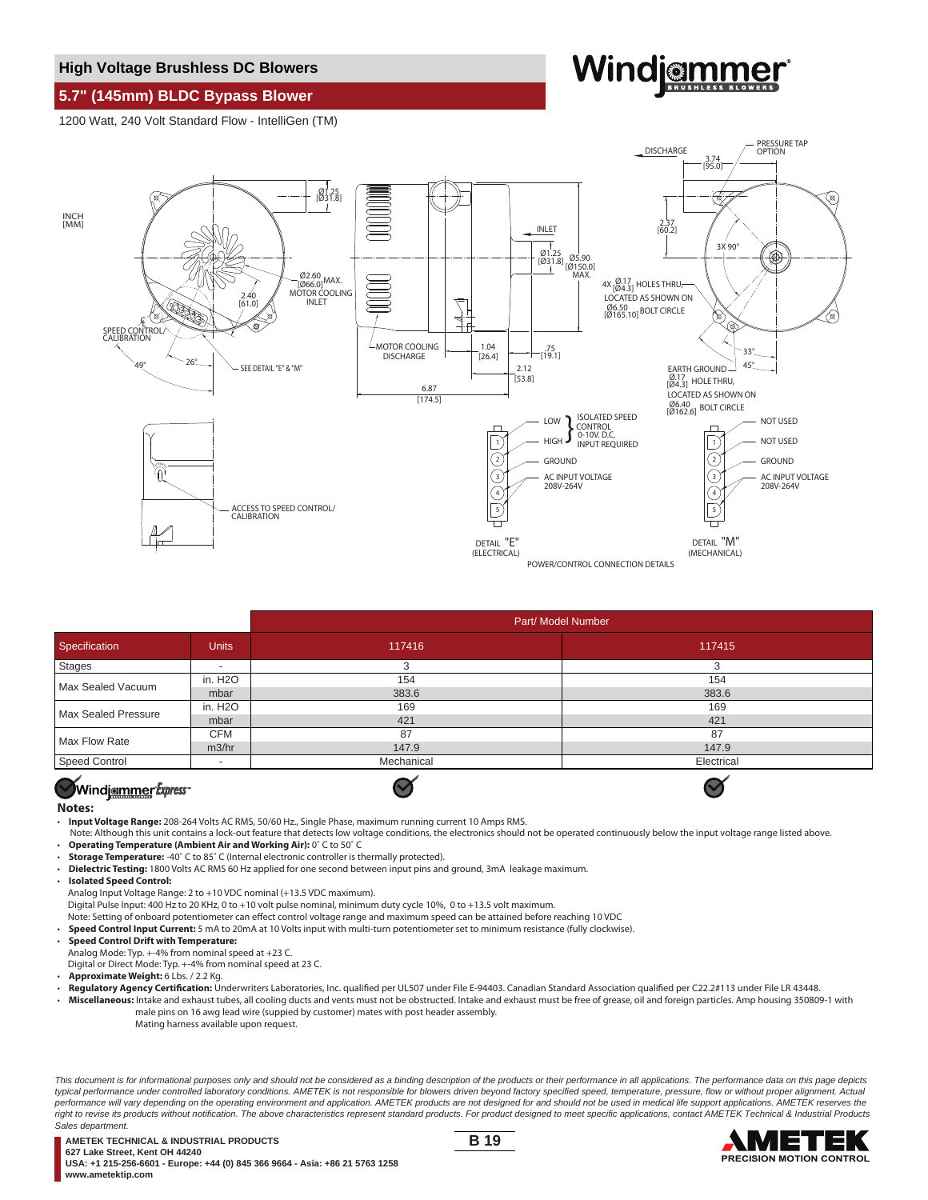### **High Voltage Brushless DC Blowers**

# **5.7" (145mm) BLDC Bypass Blower**

1200 Watt, 240 Volt Standard Flow - IntelliGen (TM)

# Windiammer



|                     |                      | Part/ Model Number |            |
|---------------------|----------------------|--------------------|------------|
| Specification       | <b>Units</b>         | 117416             | 117415     |
| <b>Stages</b>       |                      | 3                  | З          |
| Max Sealed Vacuum   | in. H2O              | 154                | 154        |
|                     | mbar                 | 383.6              | 383.6      |
| Max Sealed Pressure | in. H <sub>2</sub> O | 169                | 169        |
|                     | mbar                 | 421                | 421        |
| Max Flow Rate       | <b>CFM</b>           | 87                 | 87         |
|                     | m3/hr                | 147.9              | 147.9      |
| Speed Control       |                      | Mechanical         | Electrical |
| $\sim$ 4            |                      | $\sim$ 4           | -4         |

# Windiammer Express

#### **Notes:**

- **Input Voltage Range:** 208-264 Volts AC RMS, 50/60 Hz., Single Phase, maximum running current 10 Amps RMS.
- Note: Although this unit contains a lock-out feature that detects low voltage conditions, the electronics should not be operated continuously below the input voltage range listed above. • **Operating Temperature (Ambient Air and Working Air):** 0˚ C to 50˚ C

 $\blacktriangledown$ 

- **Storage Temperature:** -40˚ C to 85˚ C (Internal electronic controller is thermally protected).
- **Dielectric Testing:** 1800 Volts AC RMS 60 Hz applied for one second between input pins and ground, 3mA leakage maximum.
- **Isolated Speed Control:**
- Analog Input Voltage Range: 2 to +10 VDC nominal (+13.5 VDC maximum).

Digital Pulse Input: 400 Hz to 20 KHz, 0 to +10 volt pulse nominal, minimum duty cycle 10%, 0 to +13.5 volt maximum.

Note: Setting of onboard potentiometer can effect control voltage range and maximum speed can be attained before reaching 10 VDC

- **Speed Control Input Current:** 5 mA to 20mA at 10 Volts input with multi-turn potentiometer set to minimum resistance (fully clockwise).
- **Speed Control Drift with Temperature:**

Analog Mode: Typ. +-4% from nominal speed at +23 C.

Digital or Direct Mode: Typ. +-4% from nominal speed at 23 C.

- **Approximate Weight:** 6 Lbs. / 2.2 Kg.
- Regulatory Agency Certification: Underwriters Laboratories, Inc. qualified per UL507 under File E-94403. Canadian Standard Association qualified per C22.2#113 under File LR 43448.
- **Miscellaneous:** Intake and exhaust tubes, all cooling ducts and vents must not be obstructed. Intake and exhaust must be free of grease, oil and foreign particles. Amp housing 350809-1 with male pins on 16 awg lead wire (suppied by customer) mates with post header assembly. Mating harness available upon request.

This document is for informational purposes only and should not be considered as a binding description of the products or their performance in all applications. The performance data on this page depicts typical performance under controlled laboratory conditions. AMETEK is not responsible for blowers driven beyond factory specified speed, temperature, pressure, flow or without proper alignment. Actual performance will vary depending on the operating environment and application. AMETEK products are not designed for and should not be used in medical life support applications. AMETEK reserves the .<br>right to revise its products without notification. The above characteristics represent standard products. For product designed to meet specific applications, contact AMETEK Technical & Industrial Products Sales department.